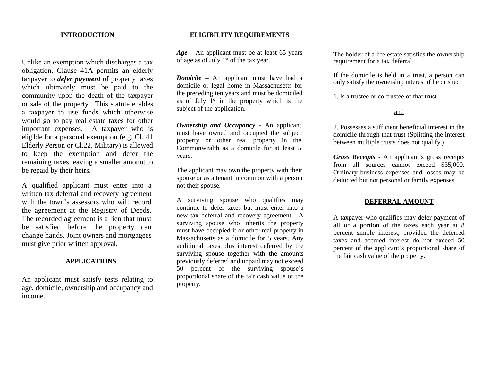### **INTRODUCTION**

Unlike an exemption which discharges a tax obligation, Clause 41A permits an elderly taxpayer to *defer payment* of property taxes which ultimately must be paid to the community upon the death of the taxpayer or sale of the property. This statute enables a taxpayer to use funds which otherwise would go to pay real estate taxes for other important expenses. A taxpayer who is eligible for a personal exemption (e.g. Cl. 41 Elderly Person or Cl.22, Military) is allowed to keep the exemption and defer the remaining taxes leaving a smaller amount to be repaid by their heirs.

A qualified applicant must enter into a written tax deferral and recovery agreement with the town's assessors who will record the agreement at the Registry of Deeds. The recorded agreement is a lien that must be satisfied before the property can change hands. Joint owners and mortgagees must give prior written approval.

### **APPLICATIONS**

An applicant must satisfy tests relating to age, domicile, ownership and occupancy and income.

### **ELIGIBILITY REQUIREMENTS**

*Age –* An applicant must be at least 65 years of age as of July 1st of the tax year.

*Domicile –* An applicant must have had a domicile or legal home in Massachusetts for the preceding ten years and must be domiciled as of July 1 st in the property which is the subject of the application.

*Ownership and Occupancy* - An applicant must have owned and occupied the subject property or other real property in the Commonwealth as a domicile for at least 5 years.

The applicant may own the property with their spouse or as a tenant in common with a person not their spouse.

A surviving spouse who qualifies may continue to defer taxes but must enter into a new tax deferral and recovery agreement. A surviving spouse who inherits the property must have occupied it or other real property in Massachusetts as a domicile for 5 years. Any additional taxes plus interest deferred by the surviving spouse together with the amounts previously deferred and unpaid may not exceed 50 percent of the surviving spouse's proportional share of the fair cash value of the property.

The holder of a life estate satisfies the ownership requirement for a tax deferral.

If the domicile is held in a trust, a person can only satisfy the ownership interest if he or she:

1. Is a trustee or co-trustee of that trust

#### and

2. Possesses a sufficient beneficial interest in the domicile through that trust (Splitting the interest between multiple trusts does not qualify.)

*Gross Receipts* - An applicant's gross receipts from all sources cannot exceed \$35,000. Ordinary business expenses and losses may be deducted but not personal or family expenses.

#### **DEFERRAL AMOUNT**

A taxpayer who qualifies may defer payment of all or a portion of the taxes each year at 8 percent simple interest, provided the deferred taxes and accrued interest do not exceed 50 percent of the applicant's proportional share of the fair cash value of the property.